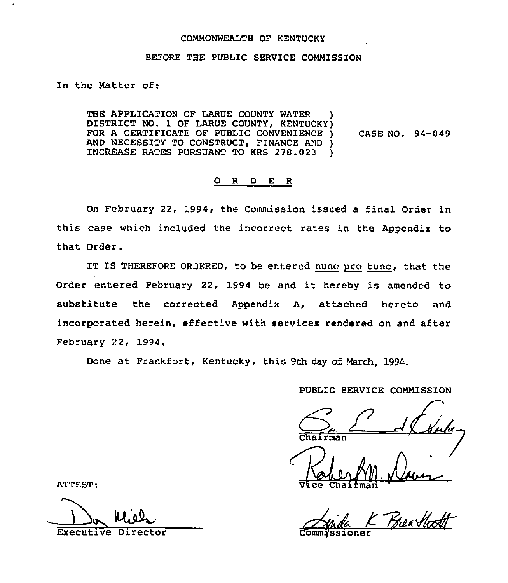## COMMONWEALTH OF KENTUCKY

#### BEFORE THE PUBLIC SERVICE COMMISSION

In the Matter of:

THE APPLICATION OF LARUE COUNTY WATER DISTRICT NO. 1 OF LARUE COUNTY, KENTUCKY) FOR <sup>A</sup> CERTIFICATE OF PUBLIC CONVENIENCE ) AND NECESSITY TO CONSTRUCT, FINANCE AND ) INCREASE RATES PURSUANT TO KRS 278.023 ) CASE NO. 94-049

## 0 R <sup>D</sup> E <sup>R</sup>

On February 22, 1994, the Commission issued a final Order in this case which included the incorrect rates in the Appendix to that Order.

IT IS THEREFORE ORDERED, to be entered nunc pro tunc, that the Order entered February 22, 1994 be and it hereby is amended to substitute the corrected Appendix A, attached hereto and incorporated herein, effective with services rendered on and after February 22, 1994.

Done at Frankfort, Kentucky, this 9th day of March, 1994.

PUBLIC SERVICE COMMISSION

rman

ATTEST: Vice Chaifmad

Executive Director